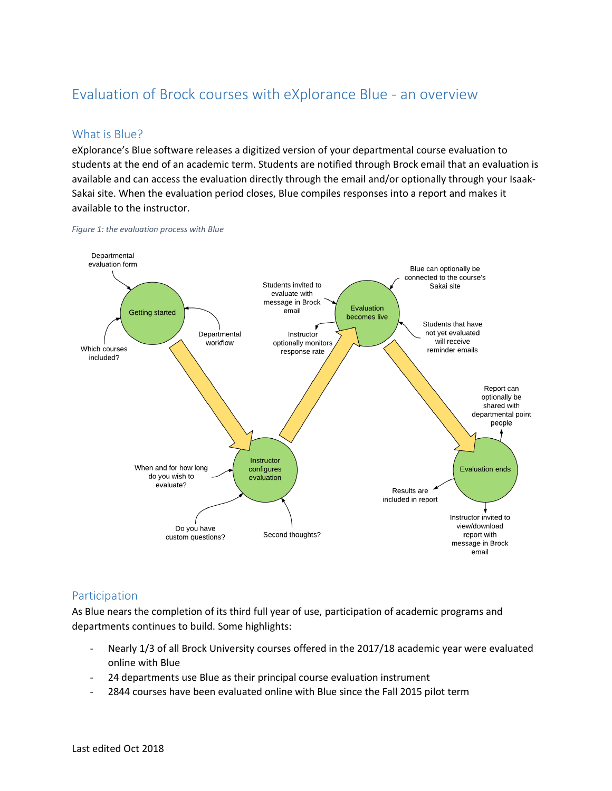# Evaluation of Brock courses with eXplorance Blue - an overview

# What is Blue?

eXplorance's Blue software releases a digitized version of your departmental course evaluation to students at the end of an academic term. Students are notified through Brock email that an evaluation is available and can access the evaluation directly through the email and/or optionally through your Isaak-Sakai site. When the evaluation period closes, Blue compiles responses into a report and makes it available to the instructor.

*Figure 1: the evaluation process with Blue*



## Participation

As Blue nears the completion of its third full year of use, participation of academic programs and departments continues to build. Some highlights:

- Nearly 1/3 of all Brock University courses offered in the 2017/18 academic year were evaluated online with Blue
- 24 departments use Blue as their principal course evaluation instrument
- 2844 courses have been evaluated online with Blue since the Fall 2015 pilot term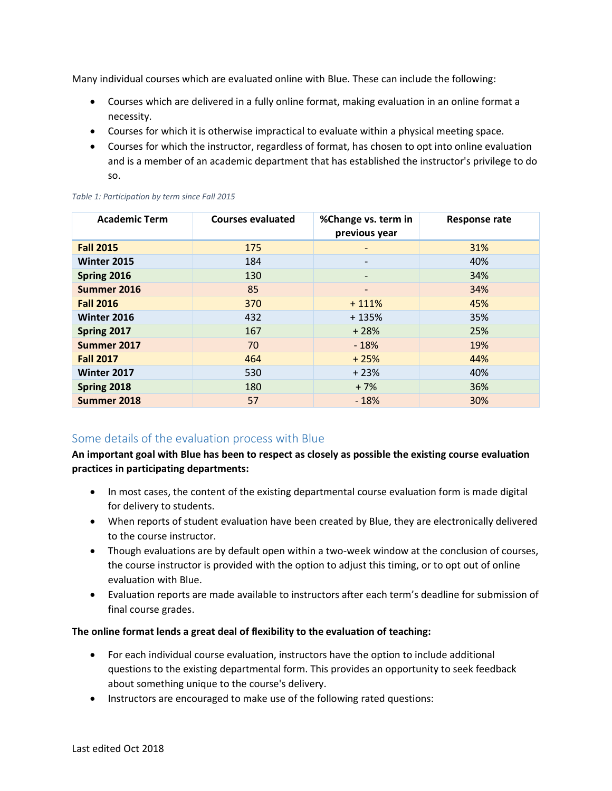Many individual courses which are evaluated online with Blue. These can include the following:

- Courses which are delivered in a fully online format, making evaluation in an online format a necessity.
- Courses for which it is otherwise impractical to evaluate within a physical meeting space.
- Courses for which the instructor, regardless of format, has chosen to opt into online evaluation and is a member of an academic department that has established the instructor's privilege to do so.

| <b>Academic Term</b> | <b>Courses evaluated</b> | %Change vs. term in<br>previous year | <b>Response rate</b> |
|----------------------|--------------------------|--------------------------------------|----------------------|
| <b>Fall 2015</b>     | 175                      | -                                    | 31%                  |
| <b>Winter 2015</b>   | 184                      |                                      | 40%                  |
| Spring 2016          | 130                      |                                      | 34%                  |
| Summer 2016          | 85                       |                                      | 34%                  |
| <b>Fall 2016</b>     | 370                      | $+111%$                              | 45%                  |
| Winter 2016          | 432                      | $+135%$                              | 35%                  |
| Spring 2017          | 167                      | $+28%$                               | 25%                  |
| Summer 2017          | 70                       | $-18%$                               | 19%                  |
| <b>Fall 2017</b>     | 464                      | $+25%$                               | 44%                  |
| <b>Winter 2017</b>   | 530                      | $+23%$                               | 40%                  |
| Spring 2018          | 180                      | $+7%$                                | 36%                  |
| Summer 2018          | 57                       | $-18%$                               | 30%                  |

#### *Table 1: Participation by term since Fall 2015*

## Some details of the evaluation process with Blue

**An important goal with Blue has been to respect as closely as possible the existing course evaluation practices in participating departments:**

- In most cases, the content of the existing departmental course evaluation form is made digital for delivery to students.
- When reports of student evaluation have been created by Blue, they are electronically delivered to the course instructor.
- Though evaluations are by default open within a two-week window at the conclusion of courses, the course instructor is provided with the option to adjust this timing, or to opt out of online evaluation with Blue.
- Evaluation reports are made available to instructors after each term's deadline for submission of final course grades.

### **The online format lends a great deal of flexibility to the evaluation of teaching:**

- For each individual course evaluation, instructors have the option to include additional questions to the existing departmental form. This provides an opportunity to seek feedback about something unique to the course's delivery.
- Instructors are encouraged to make use of the following rated questions: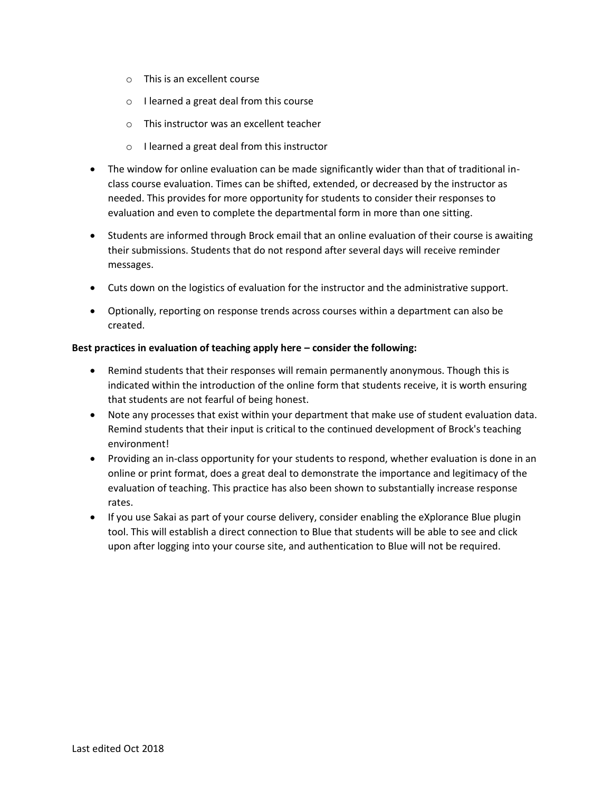- o This is an excellent course
- o I learned a great deal from this course
- o This instructor was an excellent teacher
- o I learned a great deal from this instructor
- The window for online evaluation can be made significantly wider than that of traditional inclass course evaluation. Times can be shifted, extended, or decreased by the instructor as needed. This provides for more opportunity for students to consider their responses to evaluation and even to complete the departmental form in more than one sitting.
- Students are informed through Brock email that an online evaluation of their course is awaiting their submissions. Students that do not respond after several days will receive reminder messages.
- Cuts down on the logistics of evaluation for the instructor and the administrative support.
- Optionally, reporting on response trends across courses within a department can also be created.

### **Best practices in evaluation of teaching apply here – consider the following:**

- Remind students that their responses will remain permanently anonymous. Though this is indicated within the introduction of the online form that students receive, it is worth ensuring that students are not fearful of being honest.
- Note any processes that exist within your department that make use of student evaluation data. Remind students that their input is critical to the continued development of Brock's teaching environment!
- Providing an in-class opportunity for your students to respond, whether evaluation is done in an online or print format, does a great deal to demonstrate the importance and legitimacy of the evaluation of teaching. This practice has also been shown to substantially increase response rates.
- If you use Sakai as part of your course delivery, consider enabling the eXplorance Blue plugin tool. This will establish a direct connection to Blue that students will be able to see and click upon after logging into your course site, and authentication to Blue will not be required.